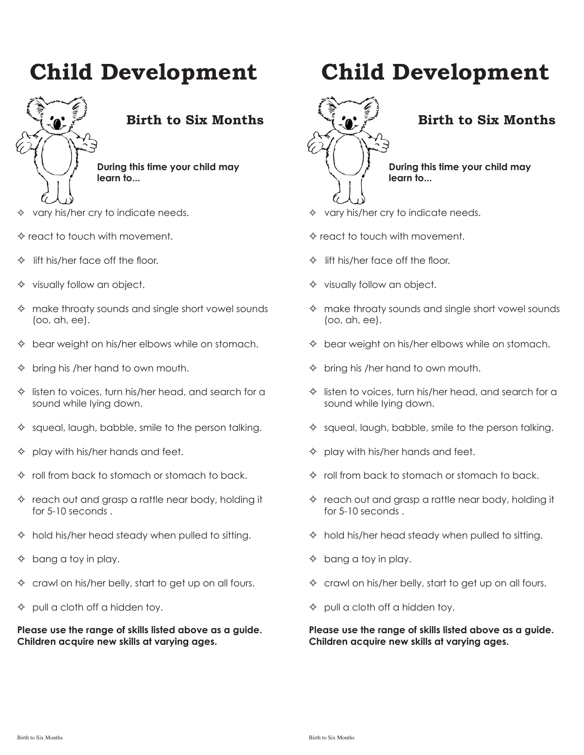

# **Birth to Six Months**

**During this time your child may learn to...**

- $\Diamond$  vary his/her cry to indicate needs.
- $\Leftrightarrow$  react to touch with movement.
- $\Diamond$  lift his/her face off the floor.
- $\diamond$  visually follow an object.
- $\Leftrightarrow$  make throaty sounds and single short vowel sounds (oo, ah, ee).
- $\Diamond$  bear weight on his/her elbows while on stomach.
- $\Diamond$  bring his /her hand to own mouth.
- $\Diamond$  listen to voices, turn his/her head, and search for a sound while Iying down.
- $\Diamond$  squeal, laugh, babble, smile to the person talking.
- $\Diamond$  play with his/her hands and feet.
- $\Diamond$  roll from back to stomach or stomach to back.
- $\Diamond$  reach out and grasp a rattle near body, holding it for 5-10 seconds .
- $\Leftrightarrow$  hold his/her head steady when pulled to sitting.
- $\Diamond$  bang a toy in play.
- $\Diamond$  crawl on his/her belly, start to get up on all fours.
- $\Diamond$  pull a cloth off a hidden toy.

**Please use the range of skills listed above as a guide. Children acquire new skills at varying ages.**

# **Child Development**



# **Birth to Six Months**

**During this time your child may learn to...**

- $\Diamond$  vary his/her cry to indicate needs.
- $\diamond$  react to touch with movement.
- $\Diamond$  lift his/her face off the floor.
- $\diamond$  visually follow an object.
- $\Leftrightarrow$  make throaty sounds and single short vowel sounds (oo, ah, ee).
- $\Diamond$  bear weight on his/her elbows while on stomach.
- $\Diamond$  bring his /her hand to own mouth.
- $\Diamond$  listen to voices, turn his/her head, and search for a sound while Iying down.
- $\Diamond$  squeal, laugh, babble, smile to the person talking.
- $\Diamond$  play with his/her hands and feet.
- $\Diamond$  roll from back to stomach or stomach to back.
- $\Diamond$  reach out and grasp a rattle near body, holding it for 5-10 seconds .
- $\Leftrightarrow$  hold his/her head steady when pulled to sitting.
- $\Diamond$  bang a toy in play.
- $\Diamond$  crawl on his/her belly, start to get up on all fours.
- $\Diamond$  pull a cloth off a hidden toy.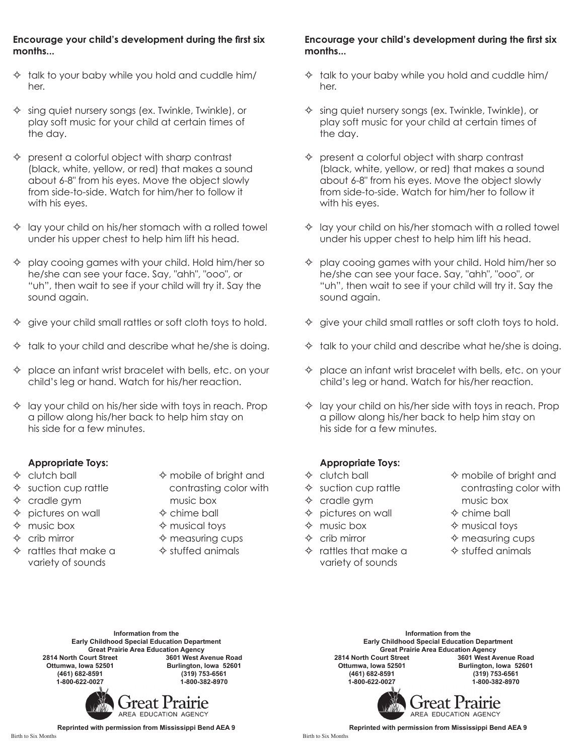#### **Encourage your child's development during the first six months...**

- $\lozenge$  talk to your baby while you hold and cuddle him/ her.
- $\Diamond$  sing quiet nursery songs (ex. Twinkle, Twinkle), or play soft music for your child at certain times of the day.
- $\Diamond$  present a colorful object with sharp contrast (black, white, yellow, or red) that makes a sound about 6-8" from his eyes. Move the object slowly from side-to-side. Watch for him/her to follow it with his eyes.
- $\Diamond$  lay your child on his/her stomach with a rolled towel under his upper chest to help him lift his head.
- $\Diamond$  play cooing games with your child. Hold him/her so he/she can see your face. Say, "ahh", "ooo", or "uh", then wait to see if your child will try it. Say the sound again.
- give your child small rattles or soft cloth toys to hold.
- $\Diamond$  talk to your child and describe what he/she is doing.
- $\Diamond$  place an infant wrist bracelet with bells, etc. on your child's leg or hand. Watch for his/her reaction.
- $\Diamond$  lay your child on his/her side with toys in reach. Prop a pillow along his/her back to help him stay on his side for a few minutes.

#### **Appropriate Toys:**

- 
- 
- $\Diamond$  cradle gym music box
- $\Diamond$  pictures on wall  $\Diamond$  chime ball
- $\Leftrightarrow$  music box  $\Leftrightarrow$  musical toys
- $\Diamond$  crib mirror  $\Diamond$  measuring cups
- $\Leftrightarrow$  rattles that make a  $\Leftrightarrow$  stuffed animals variety of sounds
- $\Diamond$  clutch ball  $\Diamond$  mobile of bright and  $\Leftrightarrow$  suction cup rattle contrasting color with
	-
	-
	-
	-

#### **Encourage your child's development during the first six months...**

- $\Diamond$  talk to your baby while you hold and cuddle him/ her.
- $\Diamond$  sing quiet nursery songs (ex. Twinkle, Twinkle), or play soft music for your child at certain times of the day.
- $\Diamond$  present a colorful object with sharp contrast (black, white, yellow, or red) that makes a sound about 6-8" from his eyes. Move the object slowly from side-to-side. Watch for him/her to follow it with his eyes.
- $\Diamond$  lay your child on his/her stomach with a rolled towel under his upper chest to help him lift his head.
- $\Diamond$  play cooing games with your child. Hold him/her so he/she can see your face. Say, "ahh", "ooo", or "uh", then wait to see if your child will try it. Say the sound again.
- $\Diamond$  give your child small rattles or soft cloth toys to hold.
- $\Diamond$  talk to your child and describe what he/she is doing.
- $\Diamond$  place an infant wrist bracelet with bells, etc. on your child's leg or hand. Watch for his/her reaction.
- $\Diamond$  lay your child on his/her side with toys in reach. Prop a pillow along his/her back to help him stay on his side for a few minutes.

#### **Appropriate Toys:**

- 
- 
- $\Diamond$  cradle gym music box
- $\Diamond$  pictures on wall  $\Diamond$  chime ball
- $\Leftrightarrow$  music box  $\Leftrightarrow$  musical toys
- 
- $\Diamond$  rattles that make a  $\Diamond$  stuffed animals variety of sounds
- $\Diamond$  clutch ball  $\Diamond$  mobile of bright and  $\Diamond$  suction cup rattle contrasting color with
	-
	-
- $\Diamond$  crib mirror  $\Diamond$  measuring cups
	-

**Information from the Early Childhood Special Education Department** Great Prairie Area Education Agency<br>2814 North Court Street **3601 West Av 2814 North Court Street 3601 West Avenue Road Ottumwa, Iowa 52501 Burlington, Iowa 52601 (461) 682-8591 (319) 753-6561 1-800-622-0027 1-800-382-8970**



**Information from the Early Childhood Special Education Department Great Prairie Area Education Agency 2814 North Court Street Ottumwa, Iowa 52501 Burlington, Iowa 52601 (461) 682-8591 (319) 753-6561 1-800-622-0027 1-800-382-8970**

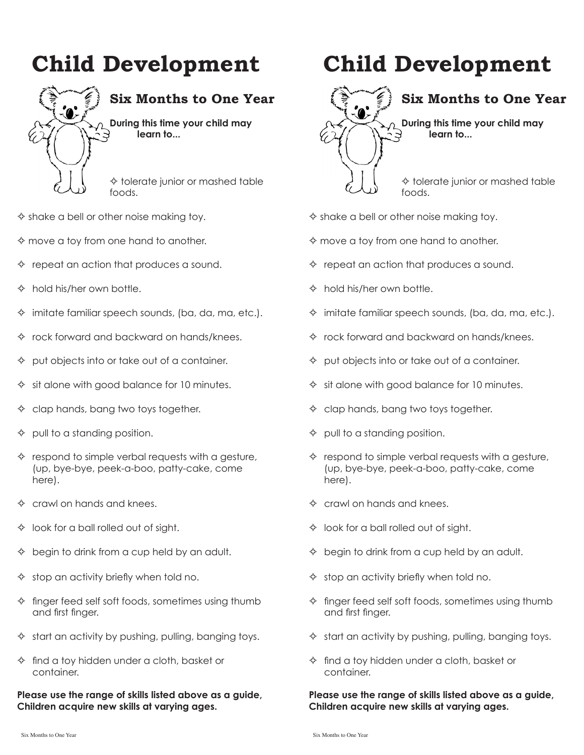

# **Six Months to One Year**

**During this time your child may learn to...**

 $\Leftrightarrow$  tolerate junior or mashed table foods.

- $\Leftrightarrow$  shake a bell or other noise making toy.
- $\Leftrightarrow$  move a toy from one hand to another.
- $\Diamond$  repeat an action that produces a sound.
- $\lozenge$  hold his/her own bottle.
- $\Diamond$  imitate familiar speech sounds, (ba, da, ma, etc.).
- $\Diamond$  rock forward and backward on hands/knees.
- $\Diamond$  put objects into or take out of a container.
- $\Diamond$  sit alone with good balance for 10 minutes.
- $\Diamond$  clap hands, bang two toys together.
- pull to a standing position.
- $\Diamond$  respond to simple verbal requests with a gesture, (up, bye-bye, peek-a-boo, patty-cake, come here).
- $\Leftrightarrow$  crawl on hands and knees.
- $\Diamond$  look for a ball rolled out of sight.
- $\Diamond$  begin to drink from a cup held by an adult.
- $\diamond$  stop an activity briefly when told no.
- $\diamond$  finger feed self soft foods, sometimes using thumb and first finger.
- $\Diamond$  start an activity by pushing, pulling, banging toys.
- $\Diamond$  find a toy hidden under a cloth, basket or container.

**Please use the range of skills listed above as a guide, Children acquire new skills at varying ages.**

# **Child Development**

# **Six Months to One Year**

**During this time your child may learn to...**

 $\Leftrightarrow$  tolerate junior or mashed table foods.

- $\Leftrightarrow$  shake a bell or other noise making toy.
- $\Leftrightarrow$  move a toy from one hand to another.
- $\Diamond$  repeat an action that produces a sound.
- $\lozenge$  hold his/her own bottle.
- $\Diamond$  imitate familiar speech sounds, (ba, da, ma, etc.).
- $\Diamond$  rock forward and backward on hands/knees.
- $\Diamond$  put objects into or take out of a container.
- $\Diamond$  sit alone with good balance for 10 minutes.
- $\Diamond$  clap hands, bang two toys together.
- $\Diamond$  pull to a standing position.
- $\Diamond$  respond to simple verbal requests with a gesture, (up, bye-bye, peek-a-boo, patty-cake, come here).
- $\Leftrightarrow$  crawl on hands and knees.
- $\Diamond$  look for a ball rolled out of sight.
- $\Diamond$  begin to drink from a cup held by an adult.
- $\diamond$  stop an activity briefly when told no.
- $\Diamond$  finger feed self soft foods, sometimes using thumb and first finger.
- $\Diamond$  start an activity by pushing, pulling, banging toys.
- $\Diamond$  find a toy hidden under a cloth, basket or container.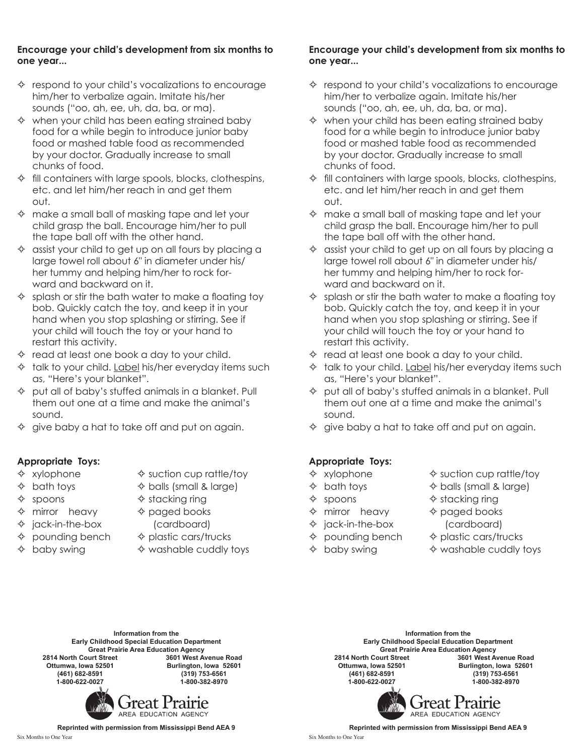#### **Encourage your child's development from six months to one year...**

- $\Diamond$  respond to your child's vocalizations to encourage him/her to verbalize again. Imitate his/her sounds ("oo, ah, ee, uh, da, ba, or ma).
- $\Leftrightarrow$  when your child has been eating strained baby food for a while begin to introduce junior baby food or mashed table food as recommended by your doctor. Gradually increase to small chunks of food.
- $\Diamond$  fill containers with large spools, blocks, clothespins, etc. and let him/her reach in and get them out.
- $\Leftrightarrow$  make a small ball of masking tape and let your child grasp the ball. Encourage him/her to pull the tape ball off with the other hand.
- $\Diamond$  assist your child to get up on all fours by placing a large towel roll about 6" in diameter under his/ her tummy and helping him/her to rock forward and backward on it.
- $\Diamond$  splash or stir the bath water to make a floating toy bob. Quickly catch the toy, and keep it in your hand when you stop splashing or stirring. See if your child will touch the toy or your hand to restart this activity.
- $\Diamond$  read at least one book a day to your child.
- $\Diamond$  talk to your child. Label his/her everyday items such as, "Here's your blanket".
- $\Diamond$  put all of baby's stuffed animals in a blanket. Pull them out one at a time and make the animal's sound.
- $\Diamond$  give baby a hat to take off and put on again.

#### **Appropriate Toys:**

- $\Leftrightarrow$  xylophone  $\Leftrightarrow$  suction cup rattle/toy
- 
- 
- $\Diamond$  bath toys  $\Diamond$  balls (small & large)
- $\Diamond$  spoons  $\Diamond$  stacking ring
- $\Leftrightarrow$  mirror heavy  $\Leftrightarrow$  paged books
- $\Diamond$  jack-in-the-box (cardboard)
- $\Diamond$  pounding bench  $\Diamond$  plastic cars/trucks
- 
- $\Diamond$  baby swing  $\Diamond$  washable cuddly toys

#### **Encourage your child's development from six months to one year...**

- $\Diamond$  respond to your child's vocalizations to encourage him/her to verbalize again. Imitate his/her sounds ("oo, ah, ee, uh, da, ba, or ma).
- $\Leftrightarrow$  when your child has been eating strained baby food for a while begin to introduce junior baby food or mashed table food as recommended by your doctor. Gradually increase to small chunks of food.
- $\Diamond$  fill containers with large spools, blocks, clothespins, etc. and let him/her reach in and get them out.
- $\Leftrightarrow$  make a small ball of masking tape and let your child grasp the ball. Encourage him/her to pull the tape ball off with the other hand.
- $\Diamond$  assist your child to get up on all fours by placing a large towel roll about 6" in diameter under his/ her tummy and helping him/her to rock forward and backward on it.
- $\Diamond$  splash or stir the bath water to make a floating toy bob. Quickly catch the toy, and keep it in your hand when you stop splashing or stirring. See if your child will touch the toy or your hand to restart this activity.
- $\Diamond$  read at least one book a day to your child.
- $\Diamond$  talk to your child. Label his/her everyday items such as, "Here's your blanket".
- $\Diamond$  put all of baby's stuffed animals in a blanket. Pull them out one at a time and make the animal's sound.
- $\Diamond$  give baby a hat to take off and put on again.

#### **Appropriate Toys:**

- 
- $\Diamond$  bath toys  $\Diamond$  balls (small & large)
- 
- $\Leftrightarrow$  mirror heavy  $\Leftrightarrow$  paged books
- $\Diamond$  jack-in-the-box (cardboard)
- 
- 
- $\Diamond$  xylophone  $\Diamond$  suction cup rattle/toy
	-
- $\Diamond$  spoons  $\Diamond$  stacking ring
	-
- $\Diamond$  pounding bench  $\Diamond$  plastic cars/trucks
- $\Diamond$  baby swing  $\Diamond$  washable cuddly toys

**Information from the Early Childhood Special Education Department** Great Prairie Area Education Agency<br>2814 North Court Street **3601 West Av 2814 North Court Street 3601 West Avenue Road Ottumwa, Iowa 52501 Burlington, Iowa 52601 (461) 682-8591 (319) 753-6561 1-800-622-0027 1-800-382-8970**



**Information from the Early Childhood Special Education Department** Great Prairie Area Education Agency<br>2814 North Court Street **3601 West Av 2814 North Court Street 3601 West Avenue Road Ottumwa, Iowa 52501 Burlington, Iowa 52601 (461) 682-8591 (319) 753-6561 1-800-622-0027 1-800-382-8970**

*Freat Prairie* AREA EDUCATION AGENCY

**Reprinted with permission from Mississippi Bend AEA 9**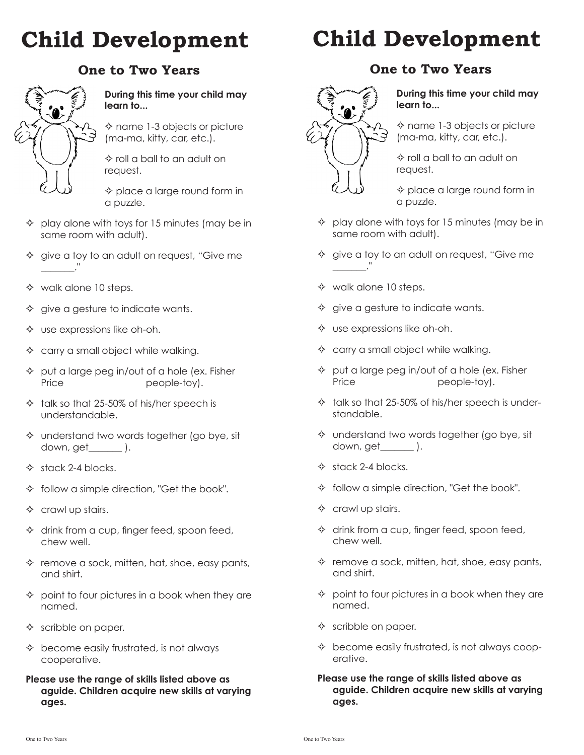## **One to Two Years**



#### **During this time your child may learn to...**

 $\Leftrightarrow$  name 1-3 objects or picture (ma-ma, kitty, car, etc.).

 $\Leftrightarrow$  roll a ball to an adult on request.

 $\diamond$  place a large round form in a puzzle.

- $\Diamond$  play alone with toys for 15 minutes (may be in same room with adult).
- $\Diamond$  give a toy to an adult on request, "Give me \_\_\_\_\_\_\_."
- $\Leftrightarrow$  walk alone 10 steps.
- $\Diamond$  give a gesture to indicate wants.
- $\diamond$  use expressions like oh-oh.
- $\diamond$  carry a small object while walking.
- $\Diamond$  put a large peg in/out of a hole (ex. Fisher Price people-toy).
- $\triangle$  talk so that 25-50% of his/her speech is understandable.
- $\Diamond$  understand two words together (go bye, sit down, get\_\_\_\_\_\_\_ ).
- $\Leftrightarrow$  stack 2-4 blocks.
- $\lozenge$  follow a simple direction, "Get the book".
- $\Leftrightarrow$  crawl up stairs.
- $\Diamond$  drink from a cup, finger feed, spoon feed, chew well.
- $\Diamond$  remove a sock, mitten, hat, shoe, easy pants, and shirt.
- $\Diamond$  point to four pictures in a book when they are named.
- $\Leftrightarrow$  scribble on paper.
- $\Diamond$  become easily frustrated, is not always cooperative.
- **Please use the range of skills listed above as aguide. Children acquire new skills at varying ages.**

# **Child Development**

# **One to Two Years**



**During this time your child may learn to...**

 $\Leftrightarrow$  name 1-3 objects or picture (ma-ma, kitty, car, etc.).

 $\diamond$  roll a ball to an adult on request.

 $\diamond$  place a large round form in a puzzle.

- $\Diamond$  play alone with toys for 15 minutes (may be in same room with adult).
- $\Diamond$  give a toy to an adult on request, "Give me \_\_\_\_\_\_\_."
- $\diamond$  walk alone 10 steps.
- $\Diamond$  give a gesture to indicate wants.
- $\Diamond$  use expressions like oh-oh.
- $\diamond$  carry a small object while walking.
- $\Diamond$  put a large peg in/out of a hole (ex. Fisher Price people-toy).
- $\lozenge$  talk so that 25-50% of his/her speech is understandable.
- $\diamond$  understand two words together (go bye, sit down, get\_\_\_\_\_\_\_ ).
- $\Leftrightarrow$  stack 2-4 blocks.
- $\lozenge$  follow a simple direction, "Get the book".
- $\Leftrightarrow$  crawl up stairs.
- $\Diamond$  drink from a cup, finger feed, spoon feed, chew well.
- $\Diamond$  remove a sock, mitten, hat, shoe, easy pants, and shirt.
- $\Diamond$  point to four pictures in a book when they are named.
- $\diamond$  scribble on paper.
- $\Diamond$  become easily frustrated, is not always cooperative.
- **Please use the range of skills listed above as aguide. Children acquire new skills at varying ages.**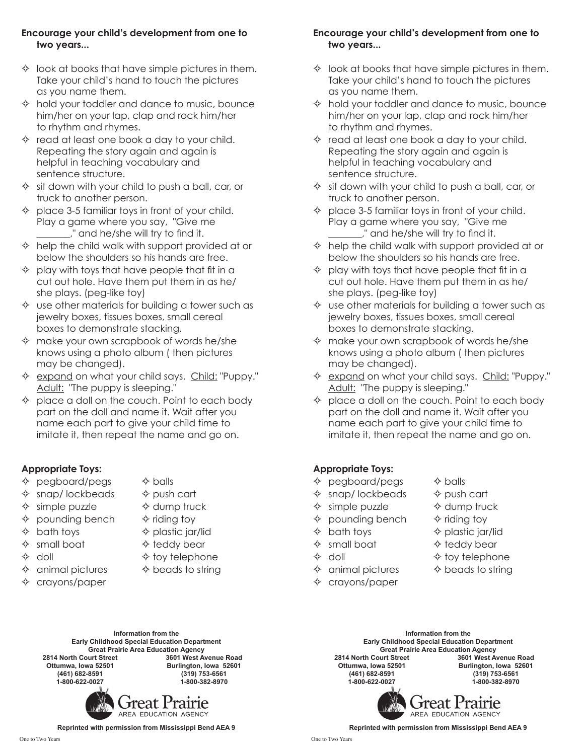#### **Encourage your child's development from one to two years...**

- $\Diamond$  look at books that have simple pictures in them. Take your child's hand to touch the pictures as you name them.
- $\Diamond$  hold your toddler and dance to music, bounce him/her on your lap, clap and rock him/her to rhythm and rhymes.
- $\Diamond$  read at least one book a day to your child. Repeating the story again and again is helpful in teaching vocabulary and sentence structure.
- $\Leftrightarrow$  sit down with your child to push a ball, car, or truck to another person.
- $\Diamond$  place 3-5 familiar toys in front of your child. Play a game where you say, "Give me \_\_\_\_\_\_\_," and he/she will try to find it.
- $\Leftrightarrow$  help the child walk with support provided at or below the shoulders so his hands are free.
- $\Diamond$  play with toys that have people that fit in a cut out hole. Have them put them in as he/ she plays. (peg-like toy)
- $\Diamond$  use other materials for building a tower such as jewelry boxes, tissues boxes, small cereal boxes to demonstrate stacking.
- $\Diamond$  make your own scrapbook of words he/she knows using a photo album ( then pictures may be changed).
- ☆ expand on what your child says. Child: "Puppy." Adult: "The puppy is sleeping."
- $\Diamond$  place a doll on the couch. Point to each body part on the doll and name it. Wait after you name each part to give your child time to imitate it, then repeat the name and go on.

### **Appropriate Toys:**

- $\Diamond$  pegboard/pegs  $\Diamond$  balls
- $\Diamond$  snap/ lockbeads  $\Diamond$  push cart
- $\Diamond$  simple puzzle  $\Diamond$  dump truck
- $\Diamond$  pounding bench  $\Diamond$  riding toy
- 
- 
- 
- $\Diamond$  animal pictures  $\Diamond$  beads to string
- $\Diamond$  crayons/paper
- 
- 
- -
- $\Diamond$  bath toys  $\Diamond$  plastic jar/lid
- $\Leftrightarrow$  small boat  $\Leftrightarrow$  teddy bear
- $\Diamond$  doll  $\Diamond$  toy telephone
	-

#### **Encourage your child's development from one to two years...**

- $\Diamond$  look at books that have simple pictures in them. Take your child's hand to touch the pictures as you name them.
- $\Diamond$  hold your toddler and dance to music, bounce him/her on your lap, clap and rock him/her to rhythm and rhymes.
- $\Diamond$  read at least one book a day to your child. Repeating the story again and again is helpful in teaching vocabulary and sentence structure.
- $\Diamond$  sit down with your child to push a ball, car, or truck to another person.
- $\Diamond$  place 3-5 familiar toys in front of your child. Play a game where you say, "Give me ." and he/she will try to find it.
- $\Leftrightarrow$  help the child walk with support provided at or below the shoulders so his hands are free.
- $\Diamond$  play with toys that have people that fit in a cut out hole. Have them put them in as he/ she plays. (peg-like toy)
- $\Diamond$  use other materials for building a tower such as jewelry boxes, tissues boxes, small cereal boxes to demonstrate stacking.
- $\Leftrightarrow$  make your own scrapbook of words he/she knows using a photo album ( then pictures may be changed).
- ☆ expand on what your child says. Child: "Puppy." Adult: "The puppy is sleeping."
- $\Diamond$  place a doll on the couch. Point to each body part on the doll and name it. Wait after you name each part to give your child time to imitate it, then repeat the name and go on.

### **Appropriate Toys:**

- $\Diamond$  pegboard/pegs  $\Diamond$  balls
- $\Diamond$  snap/ lockbeads  $\Diamond$  push cart
- $\Diamond$  simple puzzle  $\Diamond$  dump truck
- $\Diamond$  pounding bench  $\Diamond$  riding toy
- $\Diamond$  bath toys  $\Diamond$  plastic jar/lid
- 
- 
- 
- $\Diamond$  crayons/paper
- $\Leftrightarrow$  small boat  $\Leftrightarrow$  teddy bear
- $\Diamond$  doll  $\Diamond$  toy telephone
	-

**Information from the Early Childhood Special Education Department** Great Prairie Area Education Agency<br>2814 North Court Street **3601 West Av 2814 North Court Street 3601 West Avenue Road Ottumwa, Iowa 52501 Burlington, Iowa 52601 (461) 682-8591 (319) 753-6561 1-800-622-0027 1-800-382-8970**



**Reprinted with permission from Mississippi Bend AEA 9**

**Reprinted with permission from Mississippi Bend AEA 9**



Great Prairie Area Education Agency<br>2814 North Court Street **3601 West Av 2814 North Court Street 3601 West Avenue Road Ottumwa, Iowa 52501 Burlington, Iowa 52601 (461) 682-8591 (319) 753-6561 1-800-622-0027 1-800-382-8970**

> *Freat Prairie* AREA EDUCATION AGENCY

**Information from the Early Childhood Special Education Department**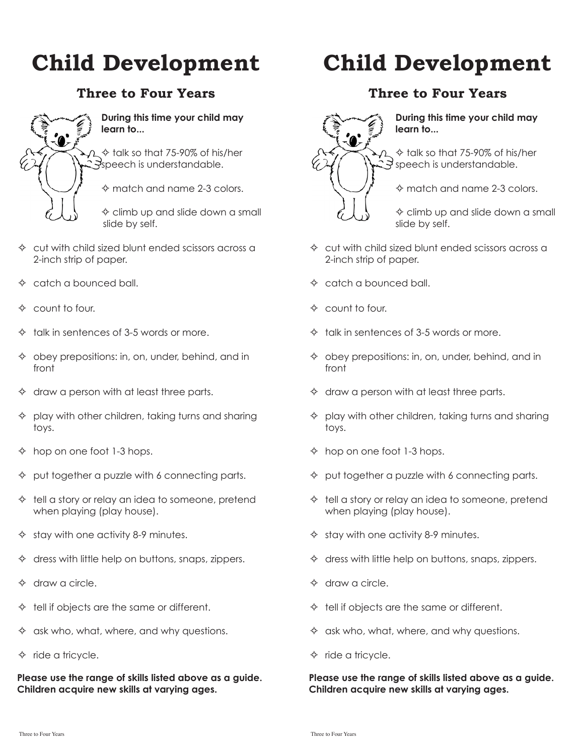# **Three to Four Years**



#### **During this time your child may learn to...**

 $\Leftrightarrow$  talk so that 75-90% of his/her Speech is understandable.

 $\Leftrightarrow$  match and name 2-3 colors.

 $\diamond$  climb up and slide down a small slide by self.

- $\Diamond$  cut with child sized blunt ended scissors across a 2-inch strip of paper.
- $\Diamond$  catch a bounced ball.
- $\Leftrightarrow$  count to four.
- $\lozenge$  talk in sentences of 3-5 words or more.
- $\Diamond$  obey prepositions: in, on, under, behind, and in front
- $\Diamond$  draw a person with at least three parts.
- $\Diamond$  play with other children, taking turns and sharing toys.
- $\lozenge$  hop on one foot 1-3 hops.
- $\Diamond$  put together a puzzle with 6 connecting parts.
- $\Diamond$  tell a story or relay an idea to someone, pretend when playing (play house).
- $\diamond$  stay with one activity 8-9 minutes.
- $\Diamond$  dress with little help on buttons, snaps, zippers.
- $\Diamond$  draw a circle.
- $\Leftrightarrow$  tell if objects are the same or different.
- $\diamond$  ask who, what, where, and why questions.
- $\Diamond$  ride a tricycle.

**Please use the range of skills listed above as a guide. Children acquire new skills at varying ages.**

# **Child Development**

### **Three to Four Years**



**During this time your child may learn to...**

 $\Leftrightarrow$  talk so that 75-90% of his/her  $\bigcirc$  speech is understandable.

 $\Leftrightarrow$  match and name 2-3 colors.

 $\Leftrightarrow$  climb up and slide down a small slide by self.

- $\Diamond$  cut with child sized blunt ended scissors across a 2-inch strip of paper.
- $\triangle$  catch a bounced ball.
- $\Leftrightarrow$  count to four.
- $\lozenge$  talk in sentences of 3-5 words or more.
- $\Diamond$  obey prepositions: in, on, under, behind, and in front
- $\Diamond$  draw a person with at least three parts.
- $\Diamond$  play with other children, taking turns and sharing toys.
- $\lozenge$  hop on one foot 1-3 hops.
- $\Diamond$  put together a puzzle with 6 connecting parts.
- $\Diamond$  tell a story or relay an idea to someone, pretend when playing (play house).
- $\diamond$  stay with one activity 8-9 minutes.
- $\Diamond$  dress with little help on buttons, snaps, zippers.
- $\Diamond$  draw a circle.
- $\Leftrightarrow$  tell if objects are the same or different.
- $\diamond$  ask who, what, where, and why questions.
- $\Leftrightarrow$  ride a tricycle.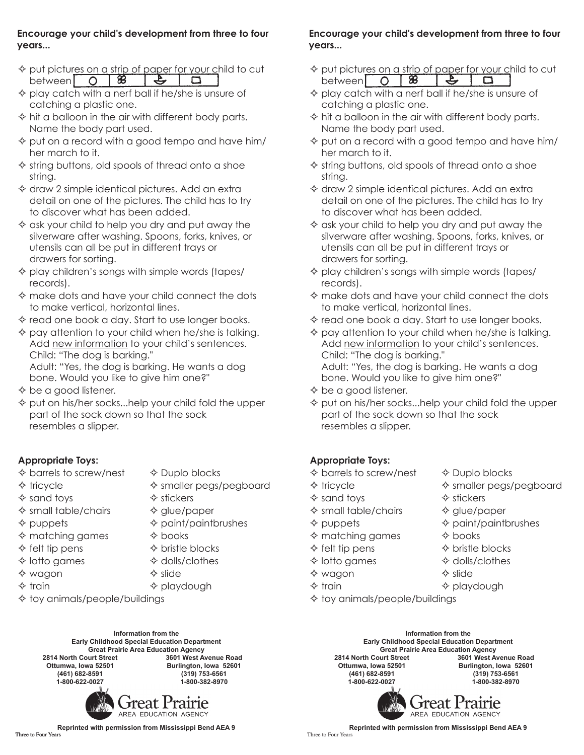#### **Encourage your child's development from three to four years...**

- $\diamond$  put pictures on a strip of paper for your child to cut between 0 8  $\rightarrow$  $\Box$
- $\Diamond$  play catch with a nerf ball if he/she is unsure of catching a plastic one.
- $\Leftrightarrow$  hit a balloon in the air with different body parts. Name the body part used.
- $\Diamond$  put on a record with a good tempo and have him/ her march to it.
- $\diamond$  string buttons, old spools of thread onto a shoe string.
- $\diamond$  draw 2 simple identical pictures. Add an extra detail on one of the pictures. The child has to try to discover what has been added.
- $\diamond$  ask your child to help you dry and put away the silverware after washing. Spoons, forks, knives, or utensils can all be put in different trays or drawers for sorting.
- $\Diamond$  play children's songs with simple words (tapes/ records).
- $\Leftrightarrow$  make dots and have your child connect the dots to make vertical, horizontal lines.
- $\diamond$  read one book a day. Start to use longer books.
- $\diamond$  pay attention to your child when he/she is talking. Add new information to your child's sentences. Child: "The dog is barking." Adult: "Yes, the dog is barking. He wants a dog

bone. Would you like to give him one?"

- $\diamond$  be a good listener.
- $\diamond$  put on his/her socks...help your child fold the upper part of the sock down so that the sock resembles a slipper.

### **Appropriate Toys:**

- $\Diamond$  barrels to screw/nest  $\Diamond$  Duplo blocks
- 
- 
- $\Leftrightarrow$  tricycle  $\Leftrightarrow$  Smaller pegs/pegboard
- $\Diamond$  sand toys  $\Diamond$  stickers
- $\diamond$  small table/chairs  $\diamond$  glue/paper
- $\Diamond$  puppets  $\Diamond$  paint/paintbrushes
- $\diamond$  matching games  $\diamond$  books
- $\Diamond$  felt tip pens  $\Diamond$  bristle blocks
- $\Diamond$  lotto games  $\Diamond$  dolls/clothes
	-
- $\Diamond$  wagon  $\Diamond$  slide
- $\Leftrightarrow$  train  $\Leftrightarrow$  playdough
- $\diamond$  toy animals/people/buildings

**Information from the Early Childhood Special Education Department** Great Prairie Area Education Agency<br>2814 North Court Street **3601 West Av 2814 North Court Street 3601 West Avenue Road Ottumwa, Iowa 52501 Burlington, Iowa 52601 (461) 682-8591 (319) 753-6561 1-800-622-0027 1-800-382-8970**



**Encourage your child's development from three to four years...**

- $\Diamond$  put pictures on a strip of paper for your child to cut between  $\bigcirc$   $\overline{8}$  $\rightarrow$  $\Box$
- $\Diamond$  play catch with a nerf ball if he/she is unsure of catching a plastic one.
- $\Leftrightarrow$  hit a balloon in the air with different body parts. Name the body part used.
- $\diamond$  put on a record with a good tempo and have him/ her march to it.
- $\diamond$  string buttons, old spools of thread onto a shoe string.
- $\diamond$  draw 2 simple identical pictures. Add an extra detail on one of the pictures. The child has to try to discover what has been added.
- $\diamond$  ask your child to help you dry and put away the silverware after washing. Spoons, forks, knives, or utensils can all be put in different trays or drawers for sorting.
- $\diamond$  play children's songs with simple words (tapes/ records).
- $\Leftrightarrow$  make dots and have your child connect the dots to make vertical, horizontal lines.
- $\diamond$  read one book a day. Start to use longer books.
- $\diamond$  pay attention to your child when he/she is talking. Add new information to your child's sentences. Child: "The dog is barking." Adult: "Yes, the dog is barking. He wants a dog bone. Would you like to give him one?"
- $\diamond$  be a good listener.
- $\diamond$  put on his/her socks...help your child fold the upper part of the sock down so that the sock resembles a slipper.

### **Appropriate Toys:**

- $\Diamond$  barrels to screw/nest  $\Diamond$  Duplo blocks
- 
- 
- $\diamond$  small table/chairs  $\diamond$  glue/paper
- 
- $\Leftrightarrow$  matching games  $\Leftrightarrow$  books
- $\Diamond$  felt tip pens  $\Diamond$  bristle blocks
- $\Diamond$  lotto games  $\Diamond$  dolls/clothes
- $\diamond$  wagon  $\diamond$  slide
- 
- $\diamond$  toy animals/people/buildings
	- **Information from the Early Childhood Special Education Department** Great Prairie Area Education Agency<br>2814 North Court Street **3601 West Av 2814 North Court Street 3601 West Avenue Road Ottumwa, Iowa 52501 Burlington, Iowa 52601 (461) 682-8591 (319) 753-6561 1-800-622-0027 1-800-382-8970**



**Reprinted with permission from Mississippi Bend AEA 9**

**Reprinted with permission from Mississippi Bend AEA 9** Three to Four Years

- $\Leftrightarrow$  tricycle  $\Leftrightarrow$  Smaller pegs/pegboard  $\Diamond$  sand toys  $\Diamond$  stickers
	-
- $\Diamond$  puppets  $\Diamond$  paint/paintbrushes
	-
	-
	-
	-
- $\Leftrightarrow$  train  $\Leftrightarrow$  playdough
-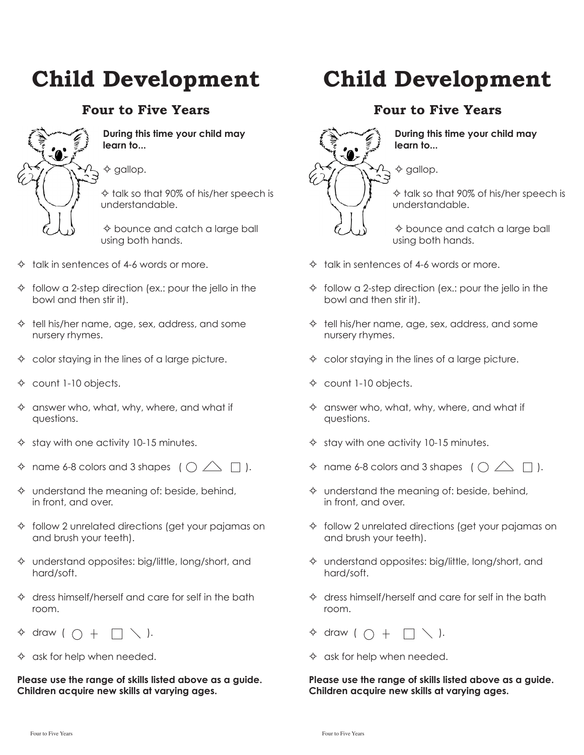## **Four to Five Years**



#### **During this time your child may learn to...**

 $\diamond$  gallop.

 $\Leftrightarrow$  talk so that 90% of his/her speech is understandable.

 $\diamond$  bounce and catch a large ball using both hands.

- $\Diamond$  talk in sentences of 4-6 words or more.
- $\Diamond$  follow a 2-step direction (ex.: pour the jello in the bowl and then stir it).
- $\Diamond$  tell his/her name, age, sex, address, and some nursery rhymes.
- $\Diamond$  color staying in the lines of a large picture.
- $\Leftrightarrow$  count 1-10 objects.
- $\diamond$  answer who, what, why, where, and what if questions.
- $\Diamond$  stay with one activity 10-15 minutes.
- $\diamond$  name 6-8 colors and 3 shapes (  $\bigcirc \triangle \square$  ).
- $\Diamond$  understand the meaning of: beside, behind, in front, and over.
- $\Diamond$  follow 2 unrelated directions (get your pajamas on and brush your teeth).
- $\diamond$  understand opposites: big/little, long/short, and hard/soft.
- $\Diamond$  dress himself/herself and care for self in the bath room.
- $\Leftrightarrow$  draw (  $\bigcirc$  +  $\bigcap \diagdown\bigcirc$  ).
- $\Diamond$  ask for help when needed.

**Please use the range of skills listed above as a guide. Children acquire new skills at varying ages.**

# **Child Development**

### **Four to Five Years**



**During this time your child may learn to...**

 $\diamond$  gallop.

 $\Leftrightarrow$  talk so that 90% of his/her speech is understandable.

 $\diamond$  bounce and catch a large ball using both hands.

- $\Diamond$  talk in sentences of 4-6 words or more.
- $\Diamond$  follow a 2-step direction (ex.: pour the jello in the bowl and then stir it).
- $\Diamond$  tell his/her name, age, sex, address, and some nursery rhymes.
- $\Diamond$  color staying in the lines of a large picture.
- $\Leftrightarrow$  count 1-10 objects.
- $\diamond$  answer who, what, why, where, and what if questions.
- $\Diamond$  stay with one activity 10-15 minutes.
- $\Diamond$  name 6-8 colors and 3 shapes (  $\bigcirc \triangle \Box$  ).
- $\Diamond$  understand the meaning of: beside, behind, in front, and over.
- $\Diamond$  follow 2 unrelated directions (get your pajamas on and brush your teeth).
- $\diamond$  understand opposites: big/little, long/short, and hard/soft.
- $\Diamond$  dress himself/herself and care for self in the bath room.
- $\lozenge$  draw (  $\bigcirc$  +  $\bigcap \diagdown \bigcirc$  ).
- $\Diamond$  ask for help when needed.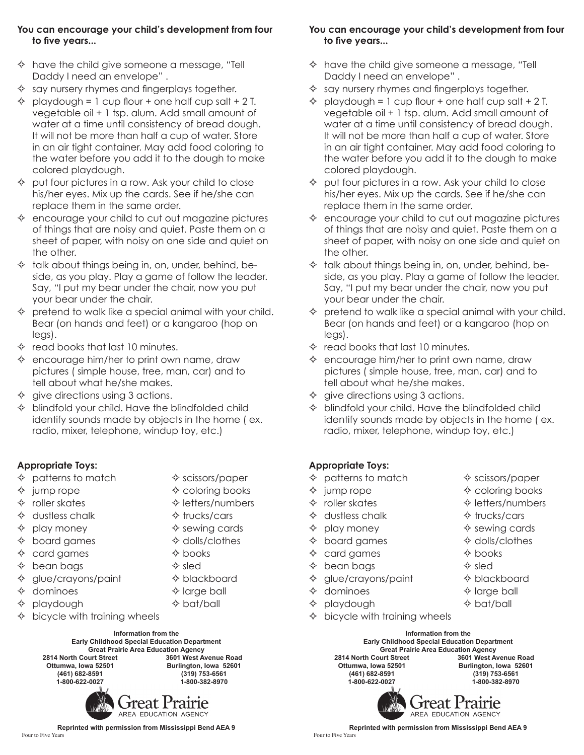#### **You can encourage your child's development from four to five years...**

- $\Diamond$  have the child give someone a message, "Tell Daddy I need an envelope" .
- $\diamond$  say nursery rhymes and fingerplays together.
- $\Diamond$  playdough = 1 cup flour + one half cup salt + 2 T. vegetable oil + 1 tsp. alum. Add small amount of water at a time until consistency of bread dough. It will not be more than half a cup of water. Store in an air tight container. May add food coloring to the water before you add it to the dough to make colored playdough.
- $\Diamond$  put four pictures in a row. Ask your child to close his/her eyes. Mix up the cards. See if he/she can replace them in the same order.
- $\Diamond$  encourage your child to cut out magazine pictures of things that are noisy and quiet. Paste them on a sheet of paper, with noisy on one side and quiet on the other.
- $\Diamond$  talk about things being in, on, under, behind, beside, as you play. Play a game of follow the leader. Say, "I put my bear under the chair, now you put your bear under the chair.
- $\Diamond$  pretend to walk like a special animal with your child. Bear (on hands and feet) or a kangaroo (hop on legs).
- $\Leftrightarrow$  read books that last 10 minutes.
- $\Leftrightarrow$  encourage him/her to print own name, draw pictures ( simple house, tree, man, car) and to tell about what he/she makes.
- $\Diamond$  give directions using 3 actions.
- $\Diamond$  blindfold your child. Have the blindfolded child identify sounds made by objects in the home ( ex. radio, mixer, telephone, windup toy, etc.)

#### **Appropriate Toys:**

- $\Diamond$  patterns to match  $\Diamond$  scissors/paper
- $\Diamond$  jump rope  $\Diamond$  coloring books
- $\Leftrightarrow$  roller skates  $\Leftrightarrow$  letters/numbers
- $\Diamond$  dustless chalk  $\Diamond$  trucks/cars
- $\Diamond$  play money  $\Diamond$  sewing cards
- $\Diamond$  board games  $\Diamond$  dolls/clothes
- $\Diamond$  card games  $\Diamond$  books
- $\Diamond$  bean bags  $\Diamond$  sled
- $\Diamond$  glue/crayons/paint  $\Diamond$  blackboard
- $\Diamond$  dominoes  $\Diamond$  large ball
- † playdough → bat/ball
- bicycle with training wheels

**Information from the Early Childhood Special Education Department Great Prairie Area Education Agency 2814 North Court Street Ottumwa, Iowa 52501 Burlington, Iowa 52601 (461) 682-8591 (319) 753-6561 1-800-622-0027 1-800-382-8970**



**You can encourage your child's development from four to five years...**

- $\Diamond$  have the child give someone a message, "Tell Daddy I need an envelope" .
- $\diamond$  say nursery rhymes and fingerplays together.
- playdough = 1 cup flour + one half cup salt + 2 T. vegetable oil + 1 tsp. alum. Add small amount of water at a time until consistency of bread dough. It will not be more than half a cup of water. Store in an air tight container. May add food coloring to the water before you add it to the dough to make colored playdough.
- $\Diamond$  put four pictures in a row. Ask your child to close his/her eyes. Mix up the cards. See if he/she can replace them in the same order.
- $\Diamond$  encourage your child to cut out magazine pictures of things that are noisy and quiet. Paste them on a sheet of paper, with noisy on one side and quiet on the other.
- $\lozenge$  talk about things being in, on, under, behind, beside, as you play. Play a game of follow the leader. Say, "I put my bear under the chair, now you put your bear under the chair.
- pretend to walk like a special animal with your child. Bear (on hands and feet) or a kangaroo (hop on legs).
- $\Leftrightarrow$  read books that last 10 minutes.
- $\Diamond$  encourage him/her to print own name, draw pictures ( simple house, tree, man, car) and to tell about what he/she makes.
- $\Diamond$  give directions using 3 actions.
- blindfold your child. Have the blindfolded child identify sounds made by objects in the home ( ex. radio, mixer, telephone, windup toy, etc.)

#### **Appropriate Toys:**

- $\Diamond$  patterns to match  $\Diamond$  scissors/paper
- 
- 
- $\Diamond$  dustless chalk  $\Diamond$  trucks/cars
- 
- $\Diamond$  board games  $\Diamond$  dolls/clothes
- $\Diamond$  card games  $\Diamond$  books
- $\Diamond$  bean bags  $\Diamond$  sled
- $\Diamond$  glue/crayons/paint  $\Diamond$  blackboard
- $\Diamond$  dominoes  $\Diamond$  large ball
- $\Diamond$  playdough  $\Diamond$  bat/ball
- $\Diamond$  bicycle with training wheels
- 
- $\Diamond$  jump rope  $\Diamond$  coloring books
- $\Diamond$  roller skates  $\Diamond$  letters/numbers
	-
- $\Diamond$  play money  $\Diamond$  sewing cards
	-
	-
	-
	-
	-
	-

**Information from the Early Childhood Special Education Department Great Prairie Area Education Agency 2814 North Court Street Ottumwa, Iowa 52501 Burlington, Iowa 52601 (461) 682-8591 (319) 753-6561 1-800-622-0027 1-800-382-8970**



**Reprinted with permission from Mississippi Bend AEA 9**<br>Four to Five Years Four to Five Years Four to Five Years Four to Five Years Four to Five Years Four to Five Years Four to Five Years

**Reprinted with permission from Mississippi Bend AEA 9**<br>Four to Five Years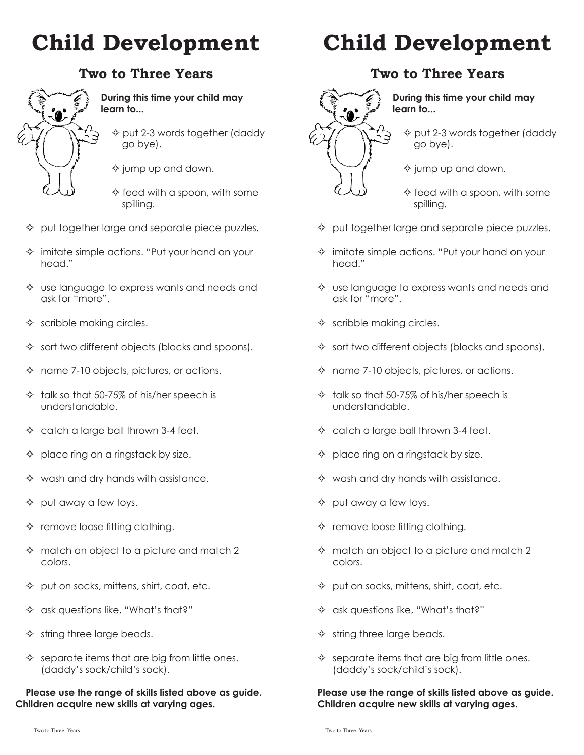### **Two to Three Years**



#### **During this time your child may learn to...**

- $\diamond$  put 2-3 words together (daddy go bye).
- $\diamond$  jump up and down.
- $\diamond$  feed with a spoon, with some spilling.
- $\Diamond$  put together large and separate piece puzzles.
- $\Diamond$  imitate simple actions. "Put your hand on your head."
- $\Diamond$  use language to express wants and needs and ask for "more".
- $\Leftrightarrow$  scribble making circles.
- $\Leftrightarrow$  sort two different objects (blocks and spoons).
- $\Leftrightarrow$  name 7-10 objects, pictures, or actions.
- $\lozenge$  talk so that 50-75% of his/her speech is understandable.
- $\Diamond$  catch a large ball thrown 3-4 feet.
- $\Diamond$  place ring on a ringstack by size.
- $\diamond$  wash and dry hands with assistance.
- $\Diamond$  put away a few toys.
- $\Leftrightarrow$  remove loose fitting clothing.
- $\Leftrightarrow$  match an object to a picture and match 2 colors.
- $\Diamond$  put on socks, mittens, shirt, coat, etc.
- $\Leftrightarrow$  ask questions like, "What's that?"
- $\Leftrightarrow$  string three large beads.
- $\Leftrightarrow$  separate items that are big from little ones. (daddy's sock/child's sock).

#### **Please use the range of skills listed above as guide. Children acquire new skills at varying ages.**

# **Child Development**

### **Two to Three Years**



#### **During this time your child may learn to...**

- $\Diamond$  put 2-3 words together (daddy go bye).
- $\diamond$  jump up and down.
- $\diamond$  feed with a spoon, with some spilling.
- $\Diamond$  put together large and separate piece puzzles.
- $\Diamond$  imitate simple actions. "Put your hand on your head."
- $\diamond$  use language to express wants and needs and ask for "more".
- $\Leftrightarrow$  scribble making circles.
- $\Diamond$  sort two different objects (blocks and spoons).
- $\Leftrightarrow$  name 7-10 objects, pictures, or actions.
- $\lozenge$  talk so that 50-75% of his/her speech is understandable.
- $\Diamond$  catch a large ball thrown 3-4 feet.
- $\Diamond$  place ring on a ringstack by size.
- $\diamond$  wash and dry hands with assistance.
- $\Diamond$  put away a few toys.
- $\Leftrightarrow$  remove loose fitting clothing.
- $\Leftrightarrow$  match an object to a picture and match 2 colors.
- $\Diamond$  put on socks, mittens, shirt, coat, etc.
- $\Leftrightarrow$  ask questions like, "What's that?"
- $\Leftrightarrow$  string three large beads.
- $\Leftrightarrow$  separate items that are big from little ones. (daddy's sock/child's sock).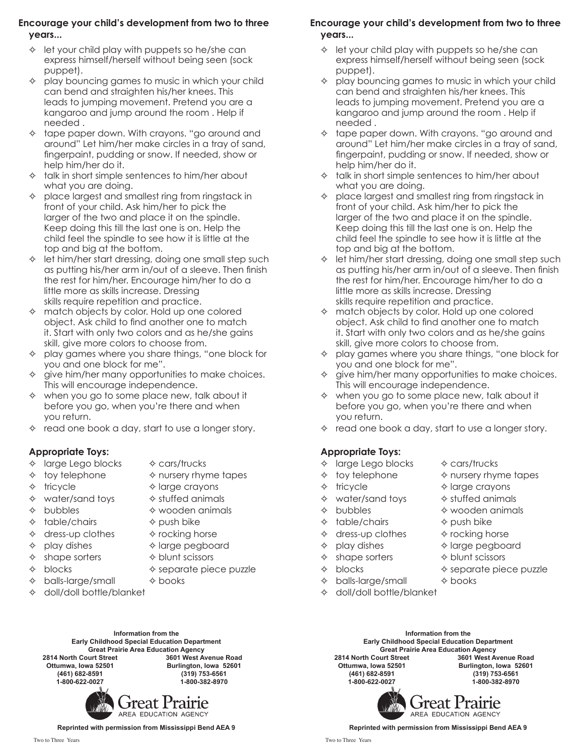#### **Encourage your child's development from two to three years...**

- $\Diamond$  let your child play with puppets so he/she can express himself/herself without being seen (sock puppet).
- $\Diamond$  play bouncing games to music in which your child can bend and straighten his/her knees. This leads to jumping movement. Pretend you are a kangaroo and jump around the room . Help if needed .
- $\lozenge$  tape paper down. With crayons. "go around and around" Let him/her make circles in a tray of sand, fingerpaint, pudding or snow. If needed, show or help him/her do it.
- $\Diamond$  talk in short simple sentences to him/her about what you are doing.
- $\Diamond$  place largest and smallest ring from ringstack in front of your child. Ask him/her to pick the larger of the two and place it on the spindle. Keep doing this till the last one is on. Help the child feel the spindle to see how it is little at the top and big at the bottom.
- let him/her start dressing, doing one small step such as putting his/her arm in/out of a sleeve. Then finish the rest for him/her. Encourage him/her to do a little more as skills increase. Dressing skills require repetition and practice.
- $\Leftrightarrow$  match objects by color. Hold up one colored object. Ask child to find another one to match it. Start with only two colors and as he/she gains skill, give more colors to choose from.
- $\Diamond$  play games where you share things, "one block for you and one block for me".
- $\Diamond$  give him/her many opportunities to make choices. This will encourage independence.
- $\Leftrightarrow$  when you go to some place new, talk about it before you go, when you're there and when you return.
- $\Leftrightarrow$  read one book a day, start to use a longer story.

### **Appropriate Toys:**

- $\Diamond$  large Lego blocks  $\Diamond$  cars/trucks
- 
- 
- 
- $\Diamond$  toy telephone  $\Diamond$  nursery rhyme tapes
	-
- $\Leftrightarrow$  water/sand toys  $\Leftrightarrow$  stuffed animals
- 
- $\Diamond$  table/chairs  $\Diamond$  push bike
- $\Diamond$  dress-up clothes  $\Diamond$  rocking horse
- 
- $\Diamond$  shape sorters  $\Diamond$  blunt scissors
- 
- $\Diamond$  balls-large/small  $\Diamond$  books

Great Prairie Area Education Agency<br>2814 North Court Street **3601 West Av** 

**1-800-622-0027 1-800-382-8970**

- 
- $\Leftrightarrow$  tricycle  $\Leftrightarrow$  large crayons
	-
- $\Diamond$  bubbles  $\Diamond$  wooden animals
	-
	-
- $\Diamond$  play dishes  $\Diamond$  large pegboard
	-
- $\Diamond$  blocks  $\Diamond$  separate piece puzzle
	-
- $\div$  doll/doll bottle/blanket
- 
- 
- 
- 
- 
- 
- 

**2814 North Court Street 3601 West Avenue Road**

**(461) 682-8591 (319) 753-6561**

**Information from the Early Childhood Special Education Department**

**Ottumwa, Iowa 52501 Burlington, Iowa 52601**

### **Encourage your child's development from two to three years...**

- $\Diamond$  let your child play with puppets so he/she can express himself/herself without being seen (sock puppet).
- $\Diamond$  play bouncing games to music in which your child can bend and straighten his/her knees. This leads to jumping movement. Pretend you are a kangaroo and jump around the room . Help if needed .
- $\lozenge$  tape paper down. With crayons. "go around and around" Let him/her make circles in a tray of sand, fingerpaint, pudding or snow. If needed, show or help him/her do it.
- $\lozenge$  talk in short simple sentences to him/her about what you are doing.
- $\Diamond$  place largest and smallest ring from ringstack in front of your child. Ask him/her to pick the larger of the two and place it on the spindle. Keep doing this till the last one is on. Help the child feel the spindle to see how it is little at the top and big at the bottom.
- $\Leftrightarrow$  let him/her start dressing, doing one small step such as putting his/her arm in/out of a sleeve. Then finish the rest for him/her. Encourage him/her to do a little more as skills increase. Dressing skills require repetition and practice.
- $\Leftrightarrow$  match objects by color. Hold up one colored object. Ask child to find another one to match it. Start with only two colors and as he/she gains skill, give more colors to choose from.
- $\Diamond$  play games where you share things, "one block for you and one block for me".
- give him/her many opportunities to make choices. This will encourage independence.
- $\Leftrightarrow$  when you go to some place new, talk about it before you go, when you're there and when you return.
- $\diamond$  read one book a day, start to use a longer story.

### **Appropriate Toys:**

- $\Diamond$  large Lego blocks  $\Diamond$  cars/trucks
- $\Diamond$  toy telephone  $\Diamond$  nursery rhyme tapes
- 
- $\Leftrightarrow$  water/sand toys  $\Leftrightarrow$  stuffed animals
- 
- $\Leftrightarrow$  table/chairs  $\Leftrightarrow$  push bike
- $\Diamond$  dress-up clothes  $\Diamond$  rocking horse
- $\Diamond$  play dishes  $\Diamond$  large pegboard
- $\Diamond$  shape sorters  $\Diamond$  blunt scissors
- 
- $\Diamond$  balls-large/small  $\Diamond$  books
- $\div$  doll/doll bottle/blanket
	- **Information from the Early Childhood Special Education Department** Great Prairie Area Education Agency<br>2814 North Court Street **3601 West Av 2814 North Court Street 3601 West Avenue Road Ottumwa, Iowa 52501 Burlington, Iowa 52601 (461) 682-8591 (319) 753-6561 1-800-622-0027 1-800-382-8970**

*Freat Prairie* AREA EDUCATION AGENCY

**Reprinted with permission from Mississippi Bend AEA 9**

Freat Prairie

AREA EDUCATION AGENCY

**Reprinted with permission from Mississippi Bend AEA 9**

 $\Leftrightarrow$  tricycle  $\Leftrightarrow$  large crayons

 $\Diamond$  bubbles  $\Diamond$  wooden animals

- 
- 
- $\Diamond$  blocks  $\Diamond$  separate piece puzzle
- -

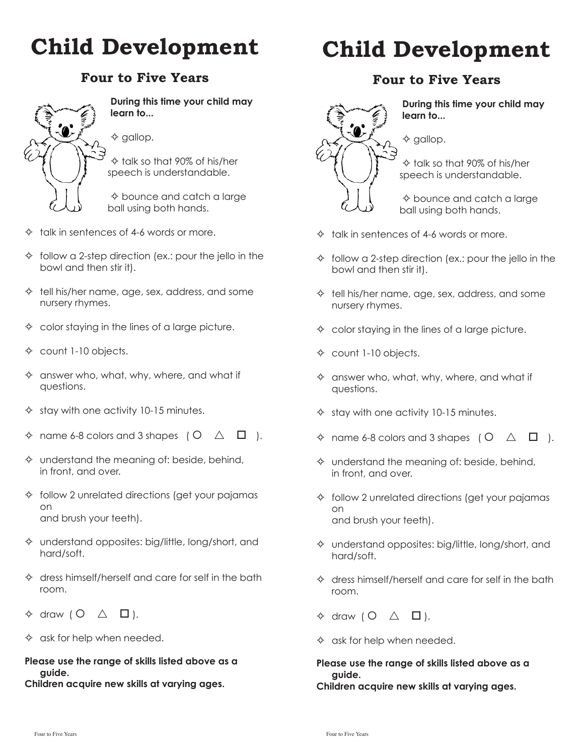# **Four to Five Years**



**During this time your child may learn to...**

 $\diamond$  gallop.

 $\Leftrightarrow$  talk so that 90% of his/her speech is understandable.

 $\diamond$  bounce and catch a large ball using both hands.

- $\Diamond$  talk in sentences of 4-6 words or more.
- $\Diamond$  follow a 2-step direction (ex.: pour the jello in the bowl and then stir it).
- $\Diamond$  tell his/her name, age, sex, address, and some nursery rhymes.
- $\Diamond$  color staying in the lines of a large picture.
- $\Leftrightarrow$  count 1-10 objects.
- $\Diamond$  answer who, what, why, where, and what if questions.
- $\Diamond$  stay with one activity 10-15 minutes.
- $\diamond$  name 6-8 colors and 3 shapes ( $\circ$   $\vartriangle$   $\Box$ ).
- $\Diamond$  understand the meaning of: beside, behind, in front, and over.
- $\Diamond$  follow 2 unrelated directions (get your pajamas on and brush your teeth).
- $\Diamond$  understand opposites: big/little, long/short, and hard/soft.
- $\Diamond$  dress himself/herself and care for self in the bath room.
- $\Leftrightarrow$  draw (  $O \triangle$   $\Box$  ).
- $\Diamond$  ask for help when needed.

#### **Please use the range of skills listed above as a guide.**

**Children acquire new skills at varying ages.**

# **Child Development**

### **Four to Five Years**



**During this time your child may learn to...**

 $\diamond$  gallop.

 $\Leftrightarrow$  talk so that 90% of his/her speech is understandable.

 $\diamond$  bounce and catch a large ball using both hands.

- $\Diamond$  talk in sentences of 4-6 words or more.
- $\Diamond$  follow a 2-step direction (ex.: pour the jello in the bowl and then stir it).
- $\Diamond$  tell his/her name, age, sex, address, and some nursery rhymes.
- $\Diamond$  color staying in the lines of a large picture.
- $\triangle$  count 1-10 objects.
- $\diamond$  answer who, what, why, where, and what if questions.
- $\Diamond$  stay with one activity 10-15 minutes.
- $\Diamond$  name 6-8 colors and 3 shapes ( $\Diamond$   $\triangle$   $\Box$ ).
- $\diamond$  understand the meaning of: beside, behind, in front, and over.
- $\lozenge$  follow 2 unrelated directions (get your pajamas on and brush your teeth).
- $\diamond$  understand opposites: big/little, long/short, and hard/soft.
- $\Leftrightarrow$  dress himself/herself and care for self in the bath room.
- $\Leftrightarrow$  draw (  $O \triangle$   $\Box$  ).
- $\diamond$  ask for help when needed.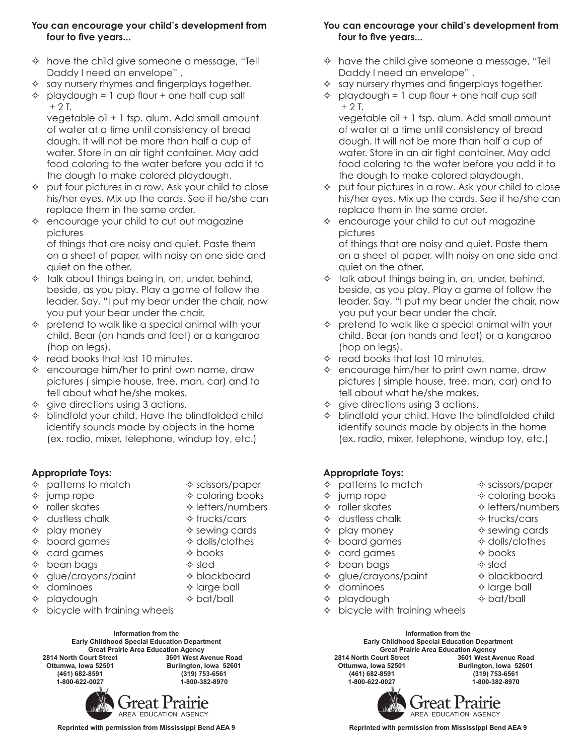#### **You can encourage your child's development from four to five years...**

- $\lozenge$  have the child give someone a message, "Tell Daddy I need an envelope" .
- $\Diamond$  say nursery rhymes and fingerplays together.
- $\Diamond$  playdough = 1 cup flour + one half cup salt  $+ 2 I$

vegetable oil + 1 tsp. alum. Add small amount of water at a time until consistency of bread dough. It will not be more than half a cup of water. Store in an air tight container. May add food coloring to the water before you add it to the dough to make colored playdough.

- $\Diamond$  put four pictures in a row. Ask your child to close his/her eyes. Mix up the cards. See if he/she can replace them in the same order.
- $\Diamond$  encourage your child to cut out magazine pictures

of things that are noisy and quiet. Paste them on a sheet of paper, with noisy on one side and quiet on the other.

- $\lozenge$  talk about things being in, on, under, behind, beside, as you play. Play a game of follow the leader. Say, "I put my bear under the chair, now you put your bear under the chair.
- $\Diamond$  pretend to walk like a special animal with your child. Bear (on hands and feet) or a kangaroo (hop on legs).
- $\Leftrightarrow$  read books that last 10 minutes.
- $\Leftrightarrow$  encourage him/her to print own name, draw pictures ( simple house, tree, man, car) and to tell about what he/she makes.
- $\Diamond$  give directions using 3 actions.
- $\Diamond$  blindfold your child. Have the blindfolded child identify sounds made by objects in the home (ex. radio, mixer, telephone, windup toy, etc.)

#### **Appropriate Toys:**

- $\Diamond$  patterns to match  $\Diamond$  scissors/paper
- $\Diamond$  jump rope  $\Diamond$  coloring books
- $\Leftrightarrow$  roller skates  $\Leftrightarrow$  letters/numbers
- $\Diamond$  dustless chalk  $\Diamond$  trucks/cars
- $\Diamond$  play money  $\Diamond$  sewing cards
- $\Diamond$  board games  $\Diamond$  dolls/clothes
- $\Diamond$  card games  $\Diamond$  books
- $\Diamond$  bean bags  $\Diamond$  sled
- $\Diamond$  glue/crayons/paint  $\Diamond$  blackboard
- $\Diamond$  dominoes  $\Diamond$  large ball
- $\Diamond$  playdough  $\Diamond$  bat/ball
- $\Diamond$  bicycle with training wheels

**Information from the Early Childhood Special Education Department** Great Prairie Area Education Agency<br>2814 North Court Street **3601 West A 2814 North Court Street 3601 West Avenue Road Ottumwa, Iowa 52501 Burlington, Iowa 52601 (461) 682-8591 (319) 753-6561 1-800-622-0027 1-800-382-8970**



**You can encourage your child's development from four to five years...**

- $\Diamond$  have the child give someone a message, "Tell Daddy I need an envelope" .
- $\Diamond$  say nursery rhymes and fingerplays together.
- $\Diamond$  playdough = 1 cup flour + one half cup salt  $+ 2$  T.

vegetable oil + 1 tsp. alum. Add small amount of water at a time until consistency of bread dough. It will not be more than half a cup of water. Store in an air tight container. May add food coloring to the water before you add it to the dough to make colored playdough.

- $\Diamond$  put four pictures in a row. Ask your child to close his/her eyes. Mix up the cards. See if he/she can replace them in the same order.
- $\Diamond$  encourage your child to cut out magazine pictures

of things that are noisy and quiet. Paste them on a sheet of paper, with noisy on one side and quiet on the other.

- $\lozenge$  talk about things being in, on, under, behind, beside, as you play. Play a game of follow the leader. Say, "I put my bear under the chair, now you put your bear under the chair.
- $\Diamond$  pretend to walk like a special animal with your child. Bear (on hands and feet) or a kangaroo (hop on legs).
- $\Leftrightarrow$  read books that last 10 minutes.
- $\Leftrightarrow$  encourage him/her to print own name, draw pictures ( simple house, tree, man, car) and to tell about what he/she makes.
- $\Diamond$  give directions using 3 actions.
- $\Diamond$  blindfold your child. Have the blindfolded child identify sounds made by objects in the home (ex. radio, mixer, telephone, windup toy, etc.)

#### **Appropriate Toys:**

- $\Diamond$  patterns to match  $\Diamond$  scissors/paper
- $\Diamond$  jump rope  $\Diamond$  coloring books
- 
- $\Diamond$  dustless chalk  $\Diamond$  trucks/cars
- 
- 
- 
- $\Diamond$  glue/crayons/paint  $\Diamond$  blackboard
- $\Diamond$  dominoes  $\Diamond$  large ball
- $\Diamond$  playdough  $\Diamond$  bat/ball
- $\Diamond$  bicycle with training wheels

**Information from the Early Childhood Special Education Department Great Prairie Area Education Agency 2814 North Court Street Ottumwa, Iowa 52501 Burlington, Iowa 52601 (461) 682-8591 (319) 753-6561 1-800-622-0027 1-800-382-8970**



**Reprinted with permission from Mississippi Bend AEA 9**

- $\Leftrightarrow$  roller skates  $\Leftrightarrow$  letters/numbers
	-
- $\Diamond$  play money  $\Diamond$  sewing cards
- $\Diamond$  board games  $\Diamond$  dolls/clothes
	-
	-
	-
	-
	-
- $\Diamond$  card games  $\Diamond$  books  $\Diamond$  bean bags  $\Diamond$  sled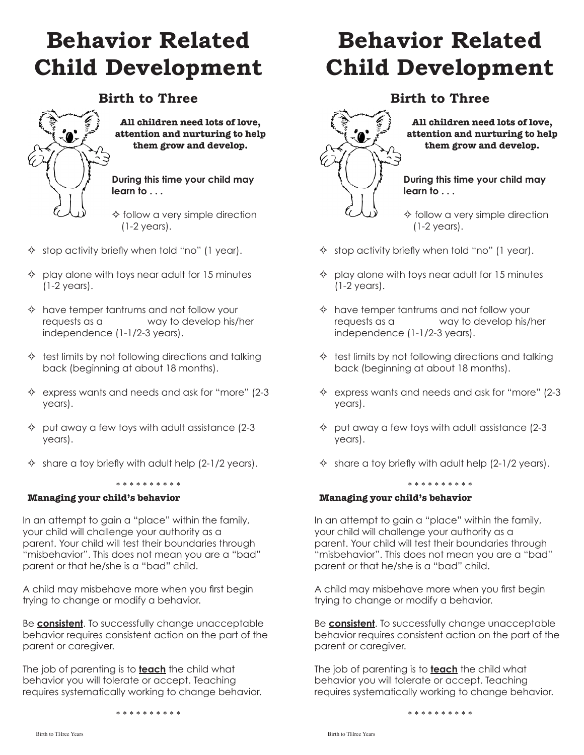# **Behavior Related Child Development**

### **Birth to Three**



#### **All children need lots of love, attention and nurturing to help them grow and develop.**

#### **During this time your child may learn to . . .**

 $\diamond$  follow a very simple direction (1-2 years).

- $\Diamond$  stop activity briefly when told "no" (1 year).
- $\Diamond$  play alone with toys near adult for 15 minutes (1-2 years).
- $\Diamond$  have temper tantrums and not follow your requests as a way to develop his/her independence (1-1/2-3 years).
- $\Leftrightarrow$  test limits by not following directions and talking back (beginning at about 18 months).
- $\Leftrightarrow$  express wants and needs and ask for "more" (2-3) years).
- $\Diamond$  put away a few toys with adult assistance (2-3) years).
- $\Diamond$  share a toy briefly with adult help (2-1/2 years).

#### \* \* \* \* \* \* \* \* \* \*

#### **Managing your child's behavior**

In an attempt to gain a "place" within the family, your child will challenge your authority as a parent. Your child will test their boundaries through "misbehavior". This does not mean you are a "bad" parent or that he/she is a "bad" child.

A child may misbehave more when you first begin trying to change or modify a behavior.

Be **consistent**. To successfully change unacceptable behavior requires consistent action on the part of the parent or caregiver.

The job of parenting is to **teach** the child what behavior you will tolerate or accept. Teaching requires systematically working to change behavior.

\* \* \* \* \* \* \* \* \* \*

# **Behavior Related Child Development**

### **Birth to Three**



**All children need lots of love, attention and nurturing to help them grow and develop.**

**During this time your child may learn to . . .**

 $\diamond$  follow a very simple direction (1-2 years).

- $\Diamond$  stop activity briefly when told "no" (1 year).
- $\Diamond$  play alone with toys near adult for 15 minutes (1-2 years).
- $\Leftrightarrow$  have temper tantrums and not follow your requests as a way to develop his/her independence (1-1/2-3 years).
- $\Leftrightarrow$  test limits by not following directions and talking back (beginning at about 18 months).
- $\Leftrightarrow$  express wants and needs and ask for "more" (2-3) years).
- $\Diamond$  put away a few toys with adult assistance (2-3) years).
- $\diamond$  share a toy briefly with adult help (2-1/2 years).

\* \* \* \* \* \* \* \* \* \*

### **Managing your child's behavior**

In an attempt to gain a "place" within the family, your child will challenge your authority as a parent. Your child will test their boundaries through "misbehavior". This does not mean you are a "bad" parent or that he/she is a "bad" child.

A child may misbehave more when you first begin trying to change or modify a behavior.

Be **consistent**. To successfully change unacceptable behavior requires consistent action on the part of the parent or caregiver.

The job of parenting is to **teach** the child what behavior you will tolerate or accept. Teaching requires systematically working to change behavior.

\* \* \* \* \* \* \* \* \* \*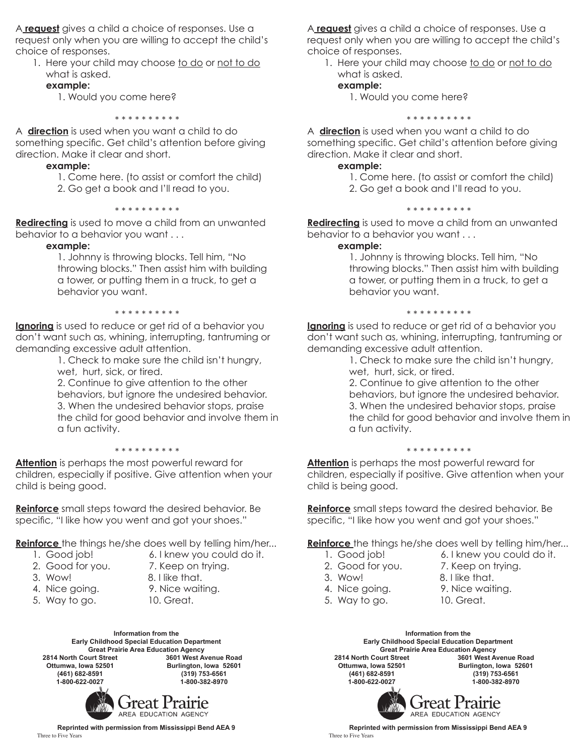A **request** gives a child a choice of responses. Use a request only when you are willing to accept the child's choice of responses.

1. Here your child may choose to do or not to do what is asked.

#### **example:**

1. Would you come here?

\* \* \* \* \* \* \* \* \* \*

A **direction** is used when you want a child to do something specific. Get child's attention before giving direction. Make it clear and short.

#### **example:**

 1. Come here. (to assist or comfort the child) 2. Go get a book and I'll read to you.

#### \* \* \* \* \* \* \* \* \* \*

**Redirecting** is used to move a child from an unwanted behavior to a behavior you want . . .

#### **example:**

1. Johnny is throwing blocks. Tell him, "No throwing blocks." Then assist him with building a tower, or putting them in a truck, to get a behavior you want.

#### \* \* \* \* \* \* \* \* \*

**Ignoring** is used to reduce or get rid of a behavior you don't want such as, whining, interrupting, tantruming or demanding excessive adult attention.

> 1. Check to make sure the child isn't hungry, wet, hurt, sick, or tired.

2. Continue to give attention to the other behaviors, but ignore the undesired behavior. 3. When the undesired behavior stops, praise the child for good behavior and involve them in a fun activity.

#### \* \* \* \* \* \* \* \* \*

**Attention** is perhaps the most powerful reward for children, especially if positive. Give attention when your child is being good.

**Reinforce** small steps toward the desired behavior. Be specific, "I like how you went and got your shoes."

**Reinforce** the things he/she does well by telling him/her...

- 
- 1. Good job! 6. I knew you could do it.
- 2. Good for you. 7. Keep on trying.
- 3. Wow! 8. I like that.
- 
- 5. Way to go. 10. Great.
- 4. Nice going. 9. Nice waiting.
	-

**Information from the Early Childhood Special Education Department** Great Prairie Area Education Agency<br>2814 North Court Street **3601 West Av 2814 North Court Street 3601 West Avenue Road Ottumwa, Iowa 52501 Burlington, Iowa 52601 (461) 682-8591 (319) 753-6561 1-800-622-0027 1-800-382-8970**



**Reprinted with permission from Mississippi Bend AEA 9** Three to Five Years

A **request** gives a child a choice of responses. Use a request only when you are willing to accept the child's choice of responses.

1. Here your child may choose to do or not to do what is asked.

#### **example:**

1. Would you come here?

\* \* \* \* \* \* \* \* \* \*

A **direction** is used when you want a child to do something specific. Get child's attention before giving direction. Make it clear and short.

#### **example:**

1. Come here. (to assist or comfort the child)

2. Go get a book and I'll read to you.

#### \* \* \* \* \* \* \* \* \* \*

**Redirecting** is used to move a child from an unwanted behavior to a behavior you want . . .

#### **example:**

1. Johnny is throwing blocks. Tell him, "No throwing blocks." Then assist him with building a tower, or putting them in a truck, to get a behavior you want.

#### \* \* \* \* \* \* \* \* \*

**Ignoring** is used to reduce or get rid of a behavior you don't want such as, whining, interrupting, tantruming or demanding excessive adult attention.

1. Check to make sure the child isn't hungry, wet, hurt, sick, or tired.

2. Continue to give attention to the other behaviors, but ignore the undesired behavior. 3. When the undesired behavior stops, praise the child for good behavior and involve them in a fun activity.

#### \* \* \* \* \* \* \* \* \*

**Attention** is perhaps the most powerful reward for children, especially if positive. Give attention when your child is being good.

**Reinforce** small steps toward the desired behavior. Be specific, "I like how you went and got your shoes."

**Reinforce** the things he/she does well by telling him/her...

- 1. Good job! 6. I knew you could do it.
	-
- 
- 
- 5. Way to go. 10. Great.
- 2. Good for you. 7. Keep on trying.
- 3. Wow! 8. I like that.
- 4. Nice going. 9. Nice waiting.
	-

*Freat Prairie* 

AREA EDUCATION AGENCY



**Reprinted with permission from Mississippi Bend AEA 9**<br>Three to Five Years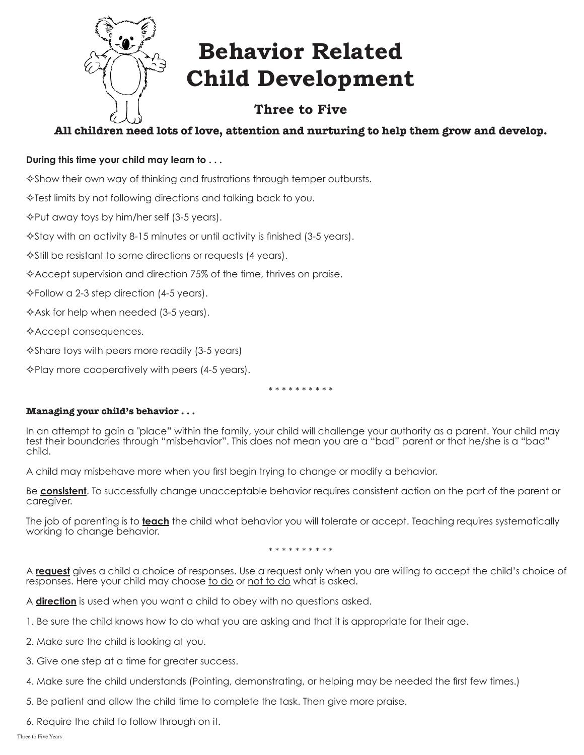

# **Behavior Related Child Development**

# **Three to Five**

### **All children need lots of love, attention and nurturing to help them grow and develop.**

### **During this time your child may learn to . . .**

 $\diamond$  Show their own way of thinking and frustrations through temper outbursts.

 $\Diamond$  Test limits by not following directions and talking back to you.

 $\Diamond$  Put away toys by him/her self (3-5 years).

 $\triangle$ Stay with an activity 8-15 minutes or until activity is finished (3-5 years).

 $\Diamond$ Still be resistant to some directions or requests (4 years).

 $\diamond$  Accept supervision and direction 75% of the time, thrives on praise.

 $\Diamond$  Follow a 2-3 step direction (4-5 years).

 $\triangle$  Ask for help when needed (3-5 years).

 $\triangle$ Accept consequences.

 $\Diamond$ Share toys with peers more readily (3-5 years)

 $\Diamond$ Play more cooperatively with peers (4-5 years).

\* \* \* \* \* \* \* \* \*

#### **Managing your child's behavior . . .**

In an attempt to gain a "place" within the family, your child will challenge your authority as a parent. Your child may test their boundaries through "misbehavior". This does not mean you are a "bad" parent or that he/she is a "bad" child.

A child may misbehave more when you first begin trying to change or modify a behavior.

Be **consistent**. To successfully change unacceptable behavior requires consistent action on the part of the parent or caregiver.

The job of parenting is to **teach** the child what behavior you will tolerate or accept. Teaching requires systematically working to change behavior.

\* \* \* \* \* \* \* \* \*

A **request** gives a child a choice of responses. Use a request only when you are willing to accept the child's choice of responses. Here your child may choose to do or not to do what is asked.

A **direction** is used when you want a child to obey with no questions asked.

1. Be sure the child knows how to do what you are asking and that it is appropriate for their age.

2. Make sure the child is looking at you.

3. Give one step at a time for greater success.

- 4. Make sure the child understands (Pointing, demonstrating, or helping may be needed the first few times.)
- 5. Be patient and allow the child time to complete the task. Then give more praise.
- 6. Require the child to follow through on it.